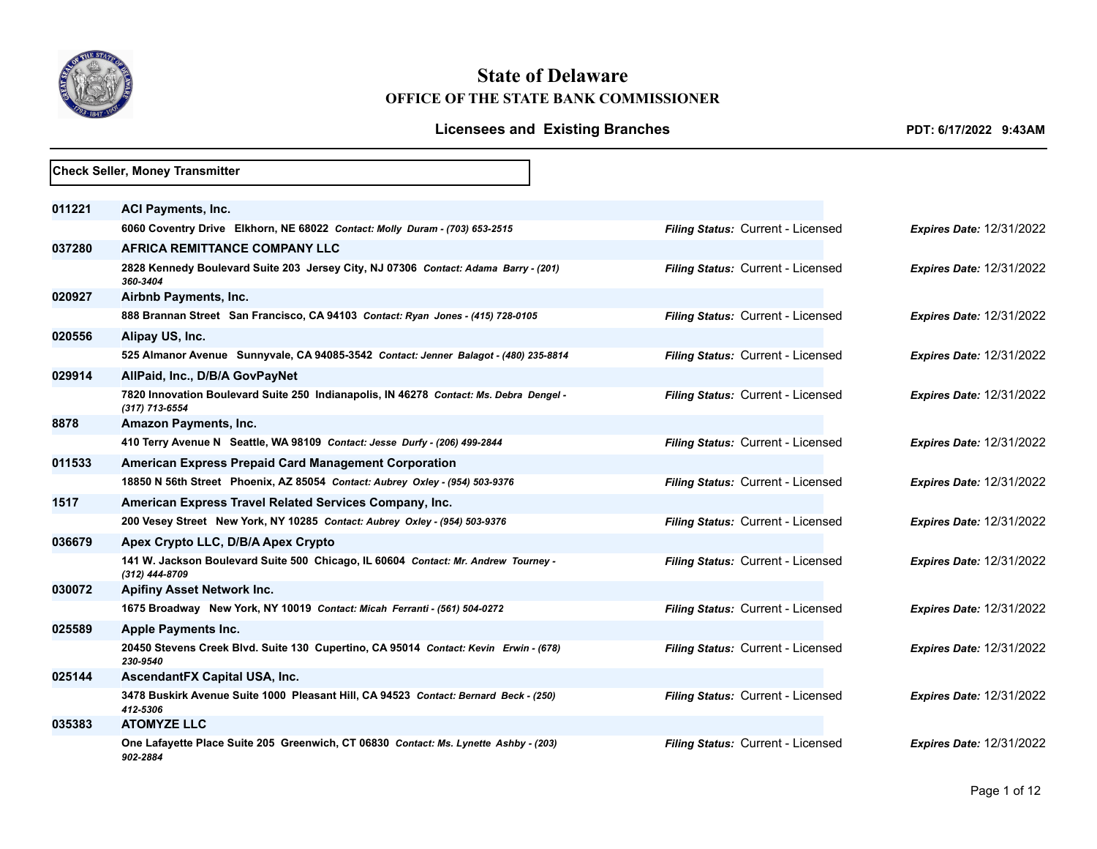

## **State of Delaware OFFICE OF THE STATE BANK COMMISSIONER**

## Licensees and Existing Branches *PDT: 6/17/2022 9:43AM*

|        | <b>Check Seller, Money Transmitter</b>                                                                   |                                   |                                 |
|--------|----------------------------------------------------------------------------------------------------------|-----------------------------------|---------------------------------|
|        |                                                                                                          |                                   |                                 |
| 011221 | <b>ACI Payments, Inc.</b>                                                                                |                                   |                                 |
|        | 6060 Coventry Drive Elkhorn, NE 68022 Contact: Molly Duram - (703) 653-2515                              | Filing Status: Current - Licensed | <b>Expires Date: 12/31/2022</b> |
| 037280 | <b>AFRICA REMITTANCE COMPANY LLC</b>                                                                     |                                   |                                 |
|        | 2828 Kennedy Boulevard Suite 203 Jersey City, NJ 07306 Contact: Adama Barry - (201)<br>360-3404          | Filing Status: Current - Licensed | <b>Expires Date: 12/31/2022</b> |
| 020927 | Airbnb Payments, Inc.                                                                                    |                                   |                                 |
|        | 888 Brannan Street San Francisco, CA 94103 Contact: Ryan Jones - (415) 728-0105                          | Filing Status: Current - Licensed | <b>Expires Date: 12/31/2022</b> |
| 020556 | Alipay US, Inc.                                                                                          |                                   |                                 |
|        | 525 Almanor Avenue Sunnyvale, CA 94085-3542 Contact: Jenner Balagot - (480) 235-8814                     | Filing Status: Current - Licensed | <b>Expires Date: 12/31/2022</b> |
| 029914 | AllPaid, Inc., D/B/A GovPayNet                                                                           |                                   |                                 |
|        | 7820 Innovation Boulevard Suite 250 Indianapolis, IN 46278 Contact: Ms. Debra Dengel -<br>(317) 713-6554 | Filing Status: Current - Licensed | <b>Expires Date: 12/31/2022</b> |
| 8878   | Amazon Payments, Inc.                                                                                    |                                   |                                 |
|        | 410 Terry Avenue N Seattle, WA 98109 Contact: Jesse Durfy - (206) 499-2844                               | Filing Status: Current - Licensed | <b>Expires Date: 12/31/2022</b> |
| 011533 | <b>American Express Prepaid Card Management Corporation</b>                                              |                                   |                                 |
|        | 18850 N 56th Street Phoenix, AZ 85054 Contact: Aubrey Oxley - (954) 503-9376                             | Filing Status: Current - Licensed | <b>Expires Date: 12/31/2022</b> |
| 1517   | American Express Travel Related Services Company, Inc.                                                   |                                   |                                 |
|        | 200 Vesey Street New York, NY 10285 Contact: Aubrey Oxley - (954) 503-9376                               | Filing Status: Current - Licensed | <b>Expires Date: 12/31/2022</b> |
| 036679 | Apex Crypto LLC, D/B/A Apex Crypto                                                                       |                                   |                                 |
|        | 141 W. Jackson Boulevard Suite 500 Chicago, IL 60604 Contact: Mr. Andrew Tourney -<br>(312) 444-8709     | Filing Status: Current - Licensed | <b>Expires Date: 12/31/2022</b> |
| 030072 | <b>Apifiny Asset Network Inc.</b>                                                                        |                                   |                                 |
|        | 1675 Broadway New York, NY 10019 Contact: Micah Ferranti - (561) 504-0272                                | Filing Status: Current - Licensed | <b>Expires Date: 12/31/2022</b> |
| 025589 | <b>Apple Payments Inc.</b>                                                                               |                                   |                                 |
|        | 20450 Stevens Creek Blvd. Suite 130 Cupertino, CA 95014 Contact: Kevin Erwin - (678)<br>230-9540         | Filing Status: Current - Licensed | <b>Expires Date: 12/31/2022</b> |
| 025144 | AscendantFX Capital USA, Inc.                                                                            |                                   |                                 |
|        | 3478 Buskirk Avenue Suite 1000 Pleasant Hill, CA 94523 Contact: Bernard Beck - (250)<br>412-5306         | Filing Status: Current - Licensed | <b>Expires Date: 12/31/2022</b> |
| 035383 | <b>ATOMYZE LLC</b>                                                                                       |                                   |                                 |
|        | One Lafayette Place Suite 205 Greenwich, CT 06830 Contact: Ms. Lynette Ashby - (203)<br>902-2884         | Filing Status: Current - Licensed | <b>Expires Date: 12/31/2022</b> |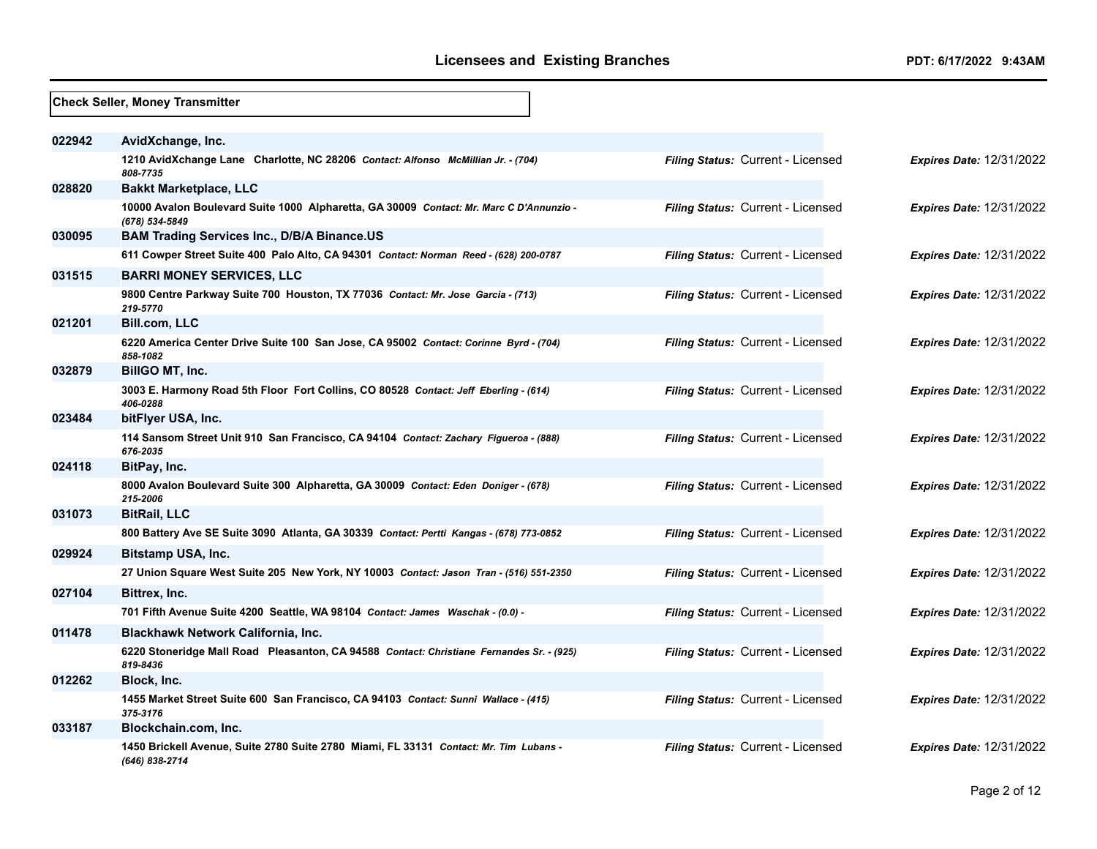|        | <b>Check Seller, Money Transmitter</b>                                                                    |                                          |                                 |  |  |
|--------|-----------------------------------------------------------------------------------------------------------|------------------------------------------|---------------------------------|--|--|
| 022942 | AvidXchange, Inc.                                                                                         |                                          |                                 |  |  |
|        | 1210 AvidXchange Lane Charlotte, NC 28206 Contact: Alfonso McMillian Jr. - (704)<br>808-7735              | Filing Status: Current - Licensed        | <b>Expires Date: 12/31/2022</b> |  |  |
| 028820 | <b>Bakkt Marketplace, LLC</b>                                                                             |                                          |                                 |  |  |
|        | 10000 Avalon Boulevard Suite 1000 Alpharetta, GA 30009 Contact: Mr. Marc C D'Annunzio -<br>(678) 534-5849 | Filing Status: Current - Licensed        | <b>Expires Date: 12/31/2022</b> |  |  |
| 030095 | <b>BAM Trading Services Inc., D/B/A Binance.US</b>                                                        |                                          |                                 |  |  |
|        | 611 Cowper Street Suite 400 Palo Alto, CA 94301 Contact: Norman Reed - (628) 200-0787                     | Filing Status: Current - Licensed        | <b>Expires Date: 12/31/2022</b> |  |  |
| 031515 | <b>BARRI MONEY SERVICES, LLC</b>                                                                          |                                          |                                 |  |  |
|        | 9800 Centre Parkway Suite 700 Houston, TX 77036 Contact: Mr. Jose Garcia - (713)<br>219-5770              | Filing Status: Current - Licensed        | Expires Date: 12/31/2022        |  |  |
| 021201 | <b>Bill.com, LLC</b>                                                                                      |                                          |                                 |  |  |
|        | 6220 America Center Drive Suite 100 San Jose, CA 95002 Contact: Corinne Byrd - (704)<br>858-1082          | Filing Status: Current - Licensed        | <b>Expires Date: 12/31/2022</b> |  |  |
| 032879 | BillGO MT, Inc.                                                                                           |                                          |                                 |  |  |
|        | 3003 E. Harmony Road 5th Floor Fort Collins, CO 80528 Contact: Jeff Eberling - (614)<br>406-0288          | Filing Status: Current - Licensed        | <b>Expires Date: 12/31/2022</b> |  |  |
| 023484 | bitFlyer USA, Inc.                                                                                        |                                          |                                 |  |  |
|        | 114 Sansom Street Unit 910 San Francisco, CA 94104 Contact: Zachary Figueroa - (888)<br>676-2035          | Filing Status: Current - Licensed        | <b>Expires Date: 12/31/2022</b> |  |  |
| 024118 | BitPay, Inc.                                                                                              |                                          |                                 |  |  |
|        | 8000 Avalon Boulevard Suite 300 Alpharetta, GA 30009 Contact: Eden Doniger - (678)<br>215-2006            | <b>Filing Status: Current - Licensed</b> | <b>Expires Date: 12/31/2022</b> |  |  |
| 031073 | <b>BitRail, LLC</b>                                                                                       |                                          |                                 |  |  |
|        | 800 Battery Ave SE Suite 3090 Atlanta, GA 30339 Contact: Pertti Kangas - (678) 773-0852                   | Filing Status: Current - Licensed        | <b>Expires Date: 12/31/2022</b> |  |  |
| 029924 | Bitstamp USA, Inc.                                                                                        |                                          |                                 |  |  |
|        | 27 Union Square West Suite 205 New York, NY 10003 Contact: Jason Tran - (516) 551-2350                    | Filing Status: Current - Licensed        | <b>Expires Date: 12/31/2022</b> |  |  |
| 027104 | Bittrex, Inc.                                                                                             |                                          |                                 |  |  |
|        | 701 Fifth Avenue Suite 4200 Seattle, WA 98104 Contact: James Waschak - (0.0) -                            | <b>Filing Status: Current - Licensed</b> | <b>Expires Date: 12/31/2022</b> |  |  |
| 011478 | <b>Blackhawk Network California, Inc.</b>                                                                 |                                          |                                 |  |  |
|        | 6220 Stoneridge Mall Road Pleasanton, CA 94588 Contact: Christiane Fernandes Sr. - (925)<br>819-8436      | Filing Status: Current - Licensed        | <b>Expires Date: 12/31/2022</b> |  |  |
| 012262 | Block, Inc.                                                                                               |                                          |                                 |  |  |
|        | 1455 Market Street Suite 600 San Francisco, CA 94103 Contact: Sunni Wallace - (415)<br>375-3176           | Filing Status: Current - Licensed        | Expires Date: 12/31/2022        |  |  |
| 033187 | Blockchain.com, Inc.                                                                                      |                                          |                                 |  |  |
|        | 1450 Brickell Avenue, Suite 2780 Suite 2780 Miami, FL 33131 Contact: Mr. Tim Lubans -<br>(646) 838-2714   | Filing Status: Current - Licensed        | <b>Expires Date: 12/31/2022</b> |  |  |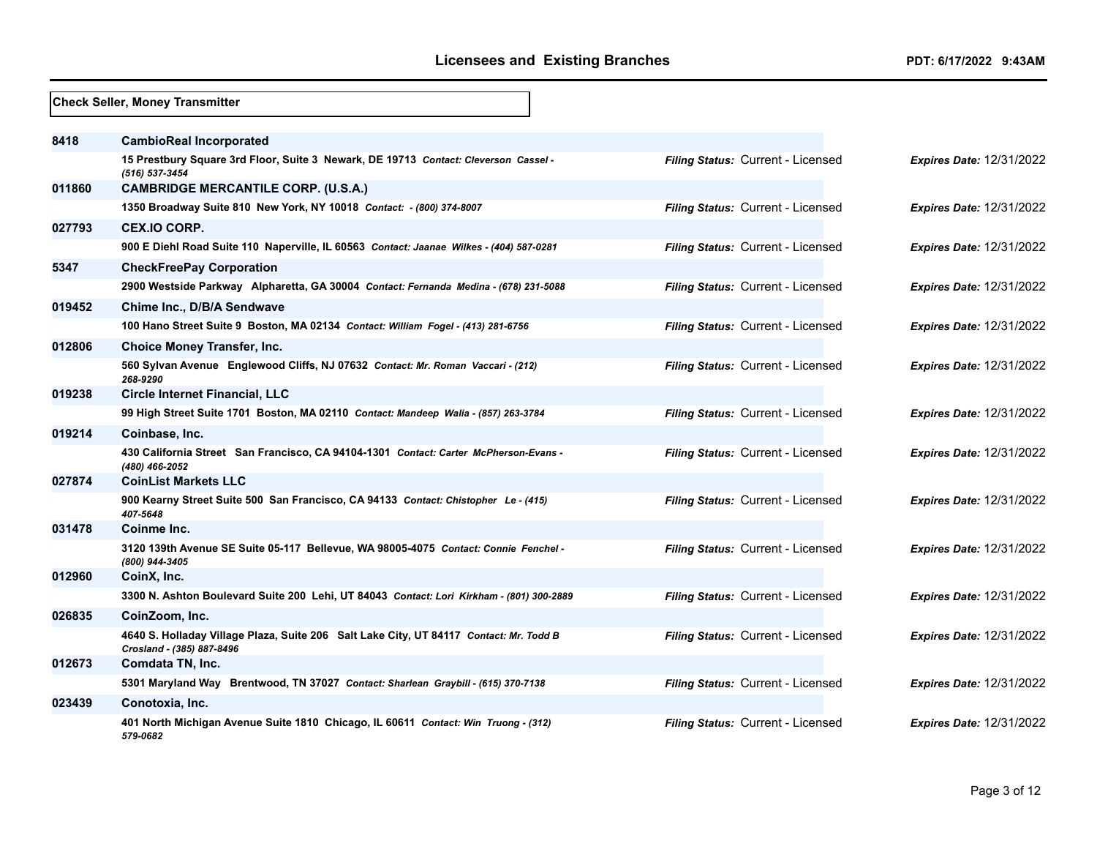|        | <b>Check Seller, Money Transmitter</b>                                                                              |                                   |                                 |
|--------|---------------------------------------------------------------------------------------------------------------------|-----------------------------------|---------------------------------|
| 8418   | <b>CambioReal Incorporated</b>                                                                                      |                                   |                                 |
|        | 15 Prestbury Square 3rd Floor, Suite 3 Newark, DE 19713 Contact: Cleverson Cassel -<br>(516) 537-3454               | Filing Status: Current - Licensed | <b>Expires Date: 12/31/2022</b> |
| 011860 | <b>CAMBRIDGE MERCANTILE CORP. (U.S.A.)</b>                                                                          |                                   |                                 |
|        | 1350 Broadway Suite 810 New York, NY 10018 Contact: - (800) 374-8007                                                | Filing Status: Current - Licensed | <b>Expires Date: 12/31/2022</b> |
| 027793 | <b>CEX.IO CORP.</b>                                                                                                 |                                   |                                 |
|        | 900 E Diehl Road Suite 110 Naperville, IL 60563 Contact: Jaanae Wilkes - (404) 587-0281                             | Filing Status: Current - Licensed | <b>Expires Date: 12/31/2022</b> |
| 5347   | <b>CheckFreePay Corporation</b>                                                                                     |                                   |                                 |
|        | 2900 Westside Parkway Alpharetta, GA 30004 Contact: Fernanda Medina - (678) 231-5088                                | Filing Status: Current - Licensed | <b>Expires Date: 12/31/2022</b> |
| 019452 | Chime Inc., D/B/A Sendwave                                                                                          |                                   |                                 |
|        | 100 Hano Street Suite 9 Boston, MA 02134 Contact: William Fogel - (413) 281-6756                                    | Filing Status: Current - Licensed | <b>Expires Date: 12/31/2022</b> |
| 012806 | <b>Choice Money Transfer, Inc.</b>                                                                                  |                                   |                                 |
|        | 560 Sylvan Avenue Englewood Cliffs, NJ 07632 Contact: Mr. Roman Vaccari - (212)<br>268-9290                         | Filing Status: Current - Licensed | <b>Expires Date: 12/31/2022</b> |
| 019238 | <b>Circle Internet Financial, LLC</b>                                                                               |                                   |                                 |
|        | 99 High Street Suite 1701 Boston, MA 02110 Contact: Mandeep Walia - (857) 263-3784                                  | Filing Status: Current - Licensed | <b>Expires Date: 12/31/2022</b> |
| 019214 | Coinbase, Inc.                                                                                                      |                                   |                                 |
|        | 430 California Street San Francisco, CA 94104-1301 Contact: Carter McPherson-Evans -<br>(480) 466-2052              | Filing Status: Current - Licensed | <b>Expires Date: 12/31/2022</b> |
| 027874 | <b>CoinList Markets LLC</b>                                                                                         |                                   |                                 |
|        | 900 Kearny Street Suite 500 San Francisco, CA 94133 Contact: Chistopher Le - (415)<br>407-5648                      | Filing Status: Current - Licensed | <b>Expires Date: 12/31/2022</b> |
| 031478 | Coinme Inc.                                                                                                         |                                   |                                 |
|        | 3120 139th Avenue SE Suite 05-117 Bellevue, WA 98005-4075 Contact: Connie Fenchel -<br>(800) 944-3405               | Filing Status: Current - Licensed | <b>Expires Date: 12/31/2022</b> |
| 012960 | CoinX, Inc.                                                                                                         |                                   |                                 |
|        | 3300 N. Ashton Boulevard Suite 200 Lehi, UT 84043 Contact: Lori Kirkham - (801) 300-2889                            | Filing Status: Current - Licensed | <b>Expires Date: 12/31/2022</b> |
| 026835 | CoinZoom, Inc.                                                                                                      |                                   |                                 |
|        | 4640 S. Holladay Village Plaza, Suite 206 Salt Lake City, UT 84117 Contact: Mr. Todd B<br>Crosland - (385) 887-8496 | Filing Status: Current - Licensed | <b>Expires Date: 12/31/2022</b> |
| 012673 | Comdata TN, Inc.                                                                                                    |                                   |                                 |
|        | 5301 Maryland Way Brentwood, TN 37027 Contact: Sharlean Graybill - (615) 370-7138                                   | Filing Status: Current - Licensed | Expires Date: 12/31/2022        |
| 023439 | Conotoxia, Inc.                                                                                                     |                                   |                                 |
|        | 401 North Michigan Avenue Suite 1810 Chicago, IL 60611 Contact: Win Truong - (312)<br>579-0682                      | Filing Status: Current - Licensed | <b>Expires Date: 12/31/2022</b> |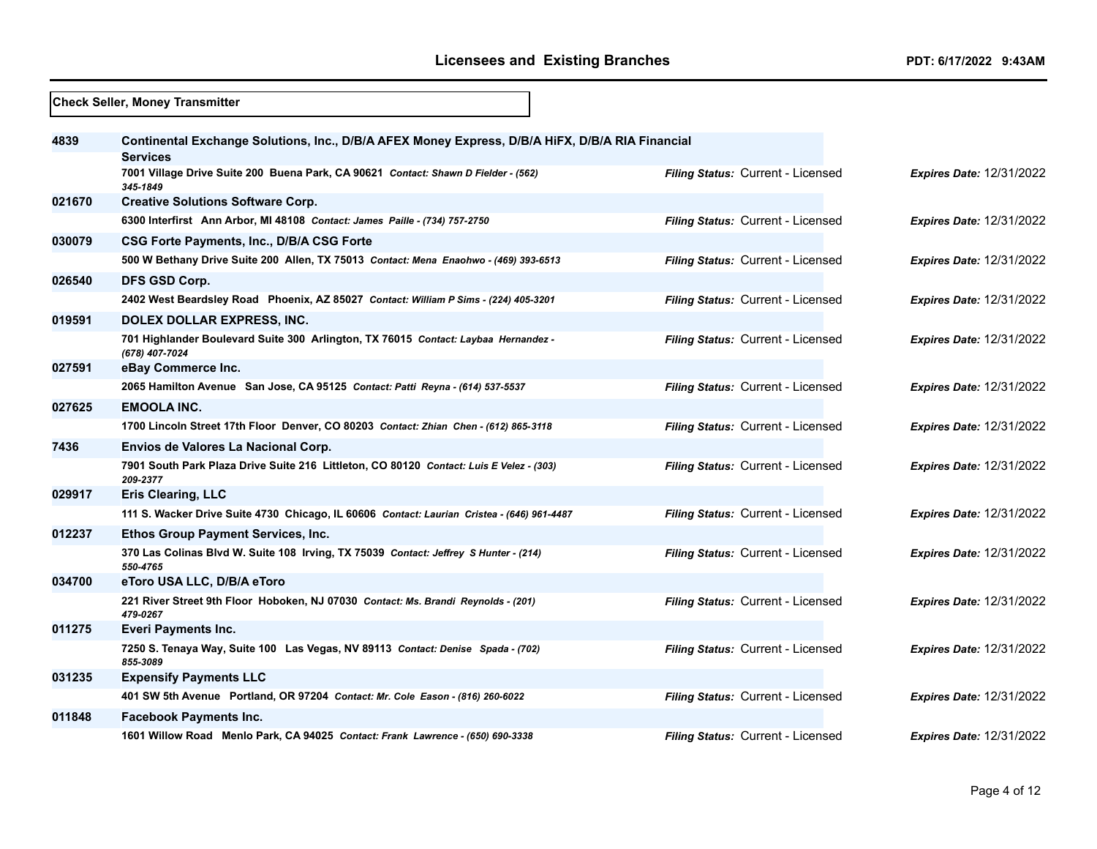- r

|        | <b>Check Seller, Money Transmitter</b>                                                                             |                                   |                                 |  |  |
|--------|--------------------------------------------------------------------------------------------------------------------|-----------------------------------|---------------------------------|--|--|
| 4839   | Continental Exchange Solutions, Inc., D/B/A AFEX Money Express, D/B/A HiFX, D/B/A RIA Financial<br><b>Services</b> |                                   |                                 |  |  |
|        | 7001 Village Drive Suite 200 Buena Park, CA 90621 Contact: Shawn D Fielder - (562)<br>345-1849                     | Filing Status: Current - Licensed | <b>Expires Date: 12/31/2022</b> |  |  |
| 021670 | <b>Creative Solutions Software Corp.</b>                                                                           |                                   |                                 |  |  |
|        | 6300 Interfirst Ann Arbor, MI 48108 Contact: James Paille - (734) 757-2750                                         | Filing Status: Current - Licensed | <b>Expires Date: 12/31/2022</b> |  |  |
| 030079 | <b>CSG Forte Payments, Inc., D/B/A CSG Forte</b>                                                                   |                                   |                                 |  |  |
|        | 500 W Bethany Drive Suite 200 Allen, TX 75013 Contact: Mena Enaohwo - (469) 393-6513                               | Filing Status: Current - Licensed | <b>Expires Date: 12/31/2022</b> |  |  |
| 026540 | DFS GSD Corp.                                                                                                      |                                   |                                 |  |  |
|        | 2402 West Beardsley Road Phoenix, AZ 85027 Contact: William P Sims - (224) 405-3201                                | Filing Status: Current - Licensed | <b>Expires Date: 12/31/2022</b> |  |  |
| 019591 | DOLEX DOLLAR EXPRESS, INC.                                                                                         |                                   |                                 |  |  |
|        | 701 Highlander Boulevard Suite 300 Arlington, TX 76015 Contact: Laybaa Hernandez -<br>(678) 407-7024               | Filing Status: Current - Licensed | <b>Expires Date: 12/31/2022</b> |  |  |
| 027591 | eBay Commerce Inc.                                                                                                 |                                   |                                 |  |  |
|        | 2065 Hamilton Avenue San Jose, CA 95125 Contact: Patti Reyna - (614) 537-5537                                      | Filing Status: Current - Licensed | <b>Expires Date: 12/31/2022</b> |  |  |
| 027625 | <b>EMOOLA INC.</b>                                                                                                 |                                   |                                 |  |  |
|        | 1700 Lincoln Street 17th Floor Denver, CO 80203 Contact: Zhian Chen - (612) 865-3118                               | Filing Status: Current - Licensed | <b>Expires Date: 12/31/2022</b> |  |  |
| 7436   | Envios de Valores La Nacional Corp.                                                                                |                                   |                                 |  |  |
|        | 7901 South Park Plaza Drive Suite 216 Littleton, CO 80120 Contact: Luis E Velez - (303)<br>209-2377                | Filing Status: Current - Licensed | <b>Expires Date: 12/31/2022</b> |  |  |
| 029917 | <b>Eris Clearing, LLC</b>                                                                                          |                                   |                                 |  |  |
|        | 111 S. Wacker Drive Suite 4730 Chicago, IL 60606 Contact: Laurian Cristea - (646) 961-4487                         | Filing Status: Current - Licensed | <b>Expires Date: 12/31/2022</b> |  |  |
| 012237 | Ethos Group Payment Services, Inc.                                                                                 |                                   |                                 |  |  |
|        | 370 Las Colinas Blvd W. Suite 108 Irving, TX 75039 Contact: Jeffrey S Hunter - (214)<br>550-4765                   | Filing Status: Current - Licensed | <b>Expires Date: 12/31/2022</b> |  |  |
| 034700 | eToro USA LLC, D/B/A eToro                                                                                         |                                   |                                 |  |  |
|        | 221 River Street 9th Floor Hoboken, NJ 07030 Contact: Ms. Brandi Reynolds - (201)<br>479-0267                      | Filing Status: Current - Licensed | <b>Expires Date: 12/31/2022</b> |  |  |
| 011275 | Everi Payments Inc.                                                                                                |                                   |                                 |  |  |
|        | 7250 S. Tenaya Way, Suite 100 Las Vegas, NV 89113 Contact: Denise Spada - (702)<br>855-3089                        | Filing Status: Current - Licensed | Expires Date: 12/31/2022        |  |  |
| 031235 | <b>Expensify Payments LLC</b>                                                                                      |                                   |                                 |  |  |
|        | 401 SW 5th Avenue Portland, OR 97204 Contact: Mr. Cole Eason - (816) 260-6022                                      | Filing Status: Current - Licensed | Expires Date: 12/31/2022        |  |  |
| 011848 | <b>Facebook Payments Inc.</b>                                                                                      |                                   |                                 |  |  |
|        | 1601 Willow Road Menlo Park, CA 94025 Contact: Frank Lawrence - (650) 690-3338                                     | Filing Status: Current - Licensed | <b>Expires Date: 12/31/2022</b> |  |  |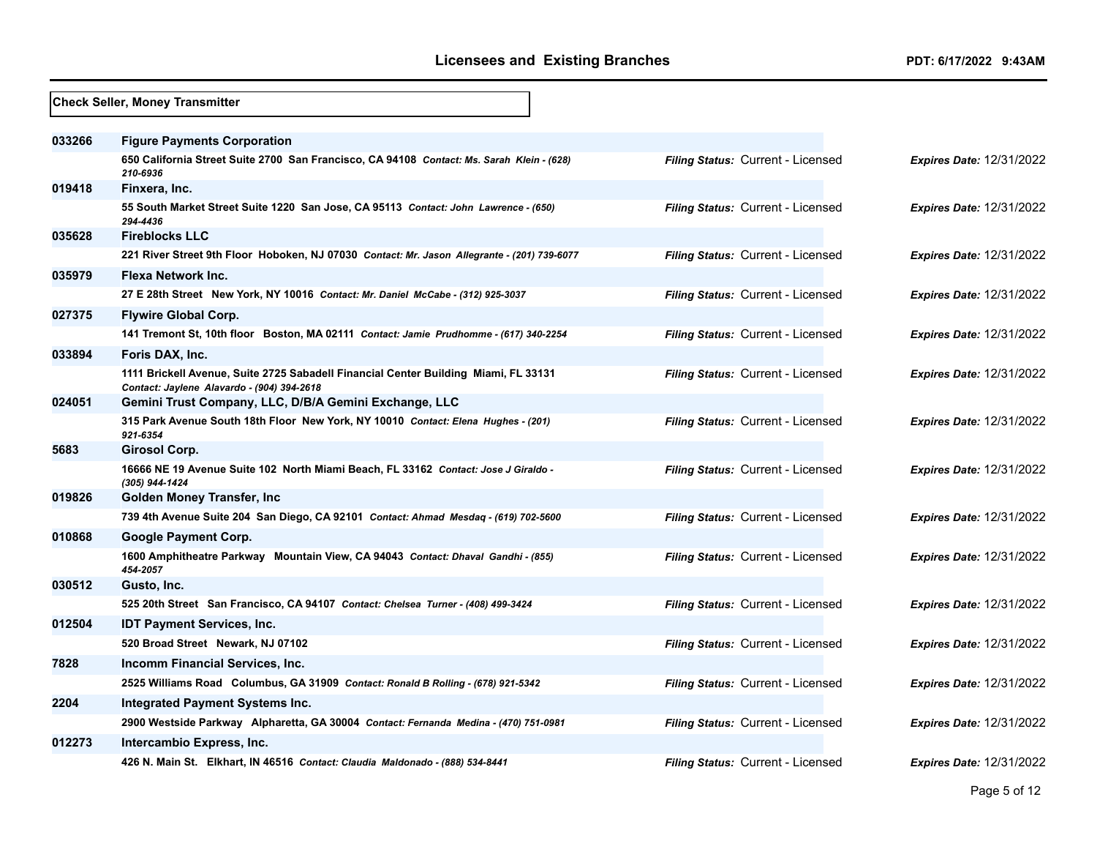|        | <b>Check Seller, Money Transmitter</b>                                                                                            |                                          |                                 |
|--------|-----------------------------------------------------------------------------------------------------------------------------------|------------------------------------------|---------------------------------|
| 033266 | <b>Figure Payments Corporation</b>                                                                                                |                                          |                                 |
|        | 650 California Street Suite 2700 San Francisco, CA 94108 Contact: Ms. Sarah Klein - (628)<br>210-6936                             | Filing Status: Current - Licensed        | <b>Expires Date: 12/31/2022</b> |
| 019418 | Finxera, Inc.                                                                                                                     |                                          |                                 |
|        | 55 South Market Street Suite 1220 San Jose, CA 95113 Contact: John Lawrence - (650)<br>294-4436                                   | Filing Status: Current - Licensed        | <b>Expires Date: 12/31/2022</b> |
| 035628 | <b>Fireblocks LLC</b>                                                                                                             |                                          |                                 |
|        | 221 River Street 9th Floor Hoboken, NJ 07030 Contact: Mr. Jason Allegrante - (201) 739-6077                                       | Filing Status: Current - Licensed        | <b>Expires Date: 12/31/2022</b> |
| 035979 | Flexa Network Inc.                                                                                                                |                                          |                                 |
|        | 27 E 28th Street New York, NY 10016 Contact: Mr. Daniel McCabe - (312) 925-3037                                                   | Filing Status: Current - Licensed        | <b>Expires Date: 12/31/2022</b> |
| 027375 | <b>Flywire Global Corp.</b>                                                                                                       |                                          |                                 |
|        | 141 Tremont St, 10th floor Boston, MA 02111 Contact: Jamie Prudhomme - (617) 340-2254                                             | <b>Filing Status: Current - Licensed</b> | <b>Expires Date: 12/31/2022</b> |
| 033894 | Foris DAX, Inc.                                                                                                                   |                                          |                                 |
|        | 1111 Brickell Avenue, Suite 2725 Sabadell Financial Center Building Miami, FL 33131<br>Contact: Jaylene Alavardo - (904) 394-2618 | Filing Status: Current - Licensed        | <b>Expires Date: 12/31/2022</b> |
| 024051 | Gemini Trust Company, LLC, D/B/A Gemini Exchange, LLC                                                                             |                                          |                                 |
|        | 315 Park Avenue South 18th Floor New York, NY 10010 Contact: Elena Hughes - (201)<br>921-6354                                     | <b>Filing Status: Current - Licensed</b> | <b>Expires Date: 12/31/2022</b> |
| 5683   | Girosol Corp.                                                                                                                     |                                          |                                 |
|        | 16666 NE 19 Avenue Suite 102 North Miami Beach, FL 33162 Contact: Jose J Giraldo -<br>(305) 944-1424                              | Filing Status: Current - Licensed        | <b>Expires Date: 12/31/2022</b> |
| 019826 | Golden Money Transfer, Inc.                                                                                                       |                                          |                                 |
|        | 739 4th Avenue Suite 204 San Diego, CA 92101 Contact: Ahmad Mesdaq - (619) 702-5600                                               | Filing Status: Current - Licensed        | Expires Date: 12/31/2022        |
| 010868 | <b>Google Payment Corp.</b>                                                                                                       |                                          |                                 |
|        | 1600 Amphitheatre Parkway Mountain View, CA 94043 Contact: Dhaval Gandhi - (855)<br>454-2057                                      | Filing Status: Current - Licensed        | <b>Expires Date: 12/31/2022</b> |
| 030512 | Gusto, Inc.                                                                                                                       |                                          |                                 |
|        | 525 20th Street San Francisco, CA 94107 Contact: Chelsea Turner - (408) 499-3424                                                  | Filing Status: Current - Licensed        | Expires Date: 12/31/2022        |
| 012504 | <b>IDT Payment Services, Inc.</b>                                                                                                 |                                          |                                 |
|        | 520 Broad Street Newark, NJ 07102                                                                                                 | Filing Status: Current - Licensed        | <b>Expires Date: 12/31/2022</b> |
| 7828   | Incomm Financial Services, Inc.                                                                                                   |                                          |                                 |
|        | 2525 Williams Road Columbus, GA 31909 Contact: Ronald B Rolling - (678) 921-5342                                                  | Filing Status: Current - Licensed        | Expires Date: 12/31/2022        |
| 2204   | <b>Integrated Payment Systems Inc.</b>                                                                                            |                                          |                                 |
|        | 2900 Westside Parkway Alpharetta, GA 30004 Contact: Fernanda Medina - (470) 751-0981                                              | Filing Status: Current - Licensed        | Expires Date: 12/31/2022        |
| 012273 | Intercambio Express, Inc.                                                                                                         |                                          |                                 |
|        | 426 N. Main St. Elkhart, IN 46516 Contact: Claudia Maldonado - (888) 534-8441                                                     | Filing Status: Current - Licensed        | <b>Expires Date: 12/31/2022</b> |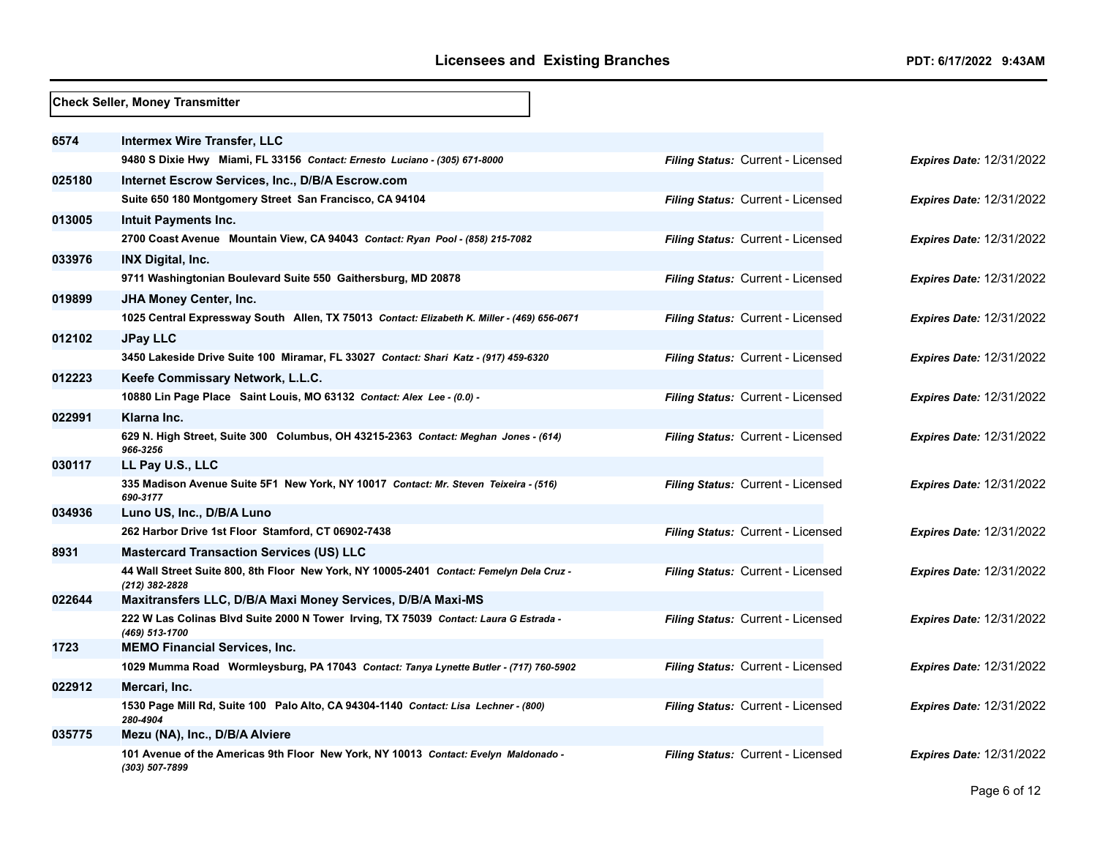|        | <b>Check Seller, Money Transmitter</b>                                                                     |                                          |                                 |
|--------|------------------------------------------------------------------------------------------------------------|------------------------------------------|---------------------------------|
| 6574   | Intermex Wire Transfer, LLC                                                                                |                                          |                                 |
|        | 9480 S Dixie Hwy Miami, FL 33156 Contact: Ernesto Luciano - (305) 671-8000                                 | Filing Status: Current - Licensed        | <b>Expires Date: 12/31/2022</b> |
| 025180 | Internet Escrow Services, Inc., D/B/A Escrow.com                                                           |                                          |                                 |
|        | Suite 650 180 Montgomery Street San Francisco, CA 94104                                                    | Filing Status: Current - Licensed        | <b>Expires Date: 12/31/2022</b> |
| 013005 | Intuit Payments Inc.                                                                                       |                                          |                                 |
|        | 2700 Coast Avenue Mountain View, CA 94043 Contact: Ryan Pool - (858) 215-7082                              | <b>Filing Status: Current - Licensed</b> | <b>Expires Date: 12/31/2022</b> |
| 033976 | <b>INX Digital, Inc.</b>                                                                                   |                                          |                                 |
|        | 9711 Washingtonian Boulevard Suite 550 Gaithersburg, MD 20878                                              | Filing Status: Current - Licensed        | <b>Expires Date: 12/31/2022</b> |
| 019899 | JHA Money Center, Inc.                                                                                     |                                          |                                 |
|        | 1025 Central Expressway South Allen, TX 75013 Contact: Elizabeth K. Miller - (469) 656-0671                | Filing Status: Current - Licensed        | <b>Expires Date: 12/31/2022</b> |
| 012102 | <b>JPay LLC</b>                                                                                            |                                          |                                 |
|        | 3450 Lakeside Drive Suite 100 Miramar, FL 33027 Contact: Shari Katz - (917) 459-6320                       | Filing Status: Current - Licensed        | <b>Expires Date: 12/31/2022</b> |
| 012223 | Keefe Commissary Network, L.L.C.                                                                           |                                          |                                 |
|        | 10880 Lin Page Place Saint Louis, MO 63132 Contact: Alex Lee - (0.0) -                                     | Filing Status: Current - Licensed        | <b>Expires Date: 12/31/2022</b> |
| 022991 | Klarna Inc.                                                                                                |                                          |                                 |
|        | 629 N. High Street, Suite 300 Columbus, OH 43215-2363 Contact: Meghan Jones - (614)<br>966-3256            | Filing Status: Current - Licensed        | <b>Expires Date: 12/31/2022</b> |
| 030117 | LL Pay U.S., LLC                                                                                           |                                          |                                 |
|        | 335 Madison Avenue Suite 5F1 New York, NY 10017 Contact: Mr. Steven Teixeira - (516)<br>690-3177           | Filing Status: Current - Licensed        | <b>Expires Date: 12/31/2022</b> |
| 034936 | Luno US, Inc., D/B/A Luno                                                                                  |                                          |                                 |
|        | 262 Harbor Drive 1st Floor Stamford, CT 06902-7438                                                         | Filing Status: Current - Licensed        | Expires Date: 12/31/2022        |
| 8931   | <b>Mastercard Transaction Services (US) LLC</b>                                                            |                                          |                                 |
|        | 44 Wall Street Suite 800, 8th Floor New York, NY 10005-2401 Contact: Femelyn Dela Cruz -<br>(212) 382-2828 | Filing Status: Current - Licensed        | <b>Expires Date: 12/31/2022</b> |
| 022644 | Maxitransfers LLC, D/B/A Maxi Money Services, D/B/A Maxi-MS                                                |                                          |                                 |
|        | 222 W Las Colinas Blvd Suite 2000 N Tower Irving, TX 75039 Contact: Laura G Estrada -<br>(469) 513-1700    | Filing Status: Current - Licensed        | <b>Expires Date: 12/31/2022</b> |
| 1723   | <b>MEMO Financial Services, Inc.</b>                                                                       |                                          |                                 |
|        | 1029 Mumma Road Wormleysburg, PA 17043 Contact: Tanya Lynette Butler - (717) 760-5902                      | Filing Status: Current - Licensed        | <b>Expires Date: 12/31/2022</b> |
| 022912 | Mercari, Inc.                                                                                              |                                          |                                 |
|        | 1530 Page Mill Rd, Suite 100 Palo Alto, CA 94304-1140 Contact: Lisa Lechner - (800)<br>280-4904            | Filing Status: Current - Licensed        | <b>Expires Date: 12/31/2022</b> |
| 035775 | Mezu (NA), Inc., D/B/A Alviere                                                                             |                                          |                                 |
|        | 101 Avenue of the Americas 9th Floor New York, NY 10013 Contact: Evelyn Maldonado -<br>(303) 507-7899      | <b>Filing Status: Current - Licensed</b> | <b>Expires Date: 12/31/2022</b> |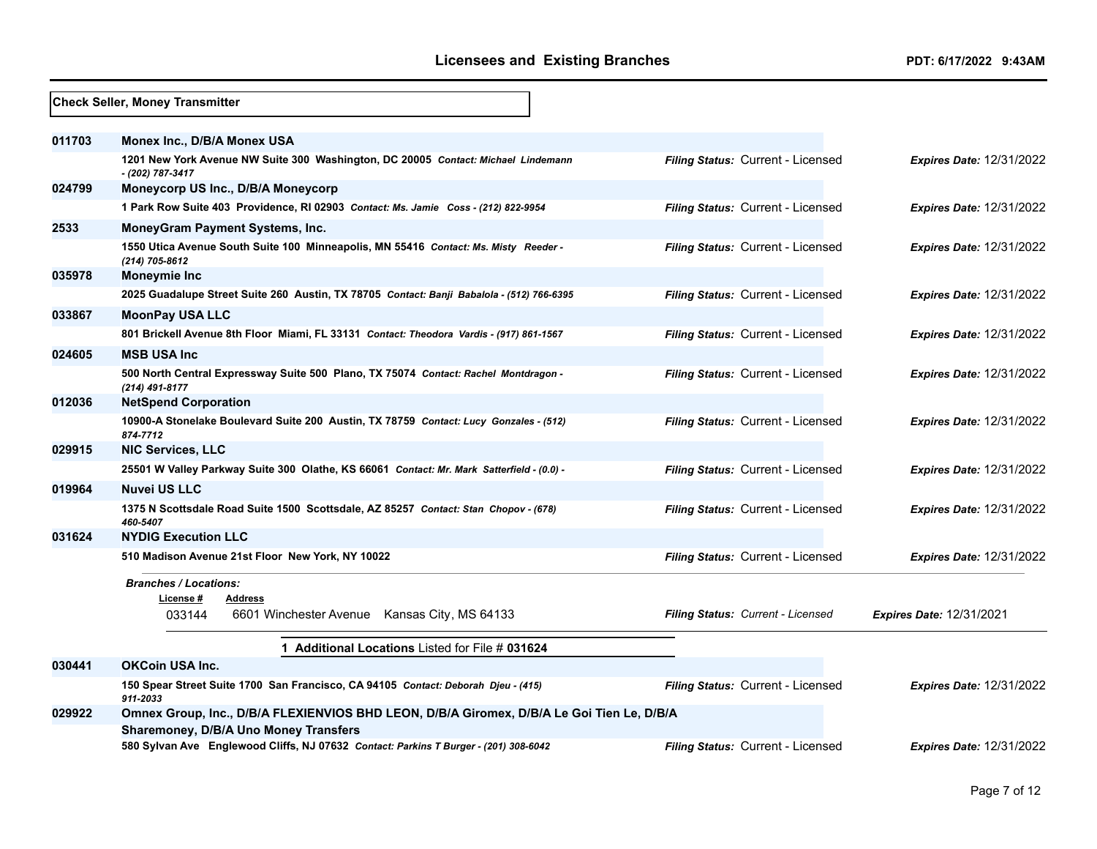|        | Check Seller, Money Transmitter                                                                                                           |                                          |                                 |
|--------|-------------------------------------------------------------------------------------------------------------------------------------------|------------------------------------------|---------------------------------|
| 011703 | Monex Inc., D/B/A Monex USA                                                                                                               |                                          |                                 |
|        | 1201 New York Avenue NW Suite 300 Washington, DC 20005 Contact: Michael Lindemann<br>- (202) 787-3417                                     | Filing Status: Current - Licensed        | <b>Expires Date: 12/31/2022</b> |
| 024799 | Moneycorp US Inc., D/B/A Moneycorp                                                                                                        |                                          |                                 |
|        | 1 Park Row Suite 403 Providence, RI 02903 Contact: Ms. Jamie Coss - (212) 822-9954                                                        | Filing Status: Current - Licensed        | <b>Expires Date: 12/31/2022</b> |
| 2533   | MoneyGram Payment Systems, Inc.                                                                                                           |                                          |                                 |
|        | 1550 Utica Avenue South Suite 100 Minneapolis, MN 55416 Contact: Ms. Misty Reeder -<br>(214) 705-8612                                     | Filing Status: Current - Licensed        | <b>Expires Date: 12/31/2022</b> |
| 035978 | <b>Moneymie Inc</b>                                                                                                                       |                                          |                                 |
|        | 2025 Guadalupe Street Suite 260 Austin, TX 78705 Contact: Banji Babalola - (512) 766-6395                                                 | Filing Status: Current - Licensed        | <b>Expires Date: 12/31/2022</b> |
| 033867 | <b>MoonPay USA LLC</b>                                                                                                                    |                                          |                                 |
|        | 801 Brickell Avenue 8th Floor Miami, FL 33131 Contact: Theodora Vardis - (917) 861-1567                                                   | Filing Status: Current - Licensed        | <b>Expires Date: 12/31/2022</b> |
| 024605 | <b>MSB USA Inc</b>                                                                                                                        |                                          |                                 |
|        | 500 North Central Expressway Suite 500 Plano, TX 75074 Contact: Rachel Montdragon -<br>(214) 491-8177                                     | Filing Status: Current - Licensed        | <b>Expires Date: 12/31/2022</b> |
| 012036 | <b>NetSpend Corporation</b>                                                                                                               |                                          |                                 |
|        | 10900-A Stonelake Boulevard Suite 200 Austin, TX 78759 Contact: Lucy Gonzales - (512)<br>874-7712                                         | Filing Status: Current - Licensed        | <b>Expires Date: 12/31/2022</b> |
| 029915 | <b>NIC Services, LLC</b>                                                                                                                  |                                          |                                 |
|        | 25501 W Valley Parkway Suite 300 Olathe, KS 66061 Contact: Mr. Mark Satterfield - (0.0) -                                                 | Filing Status: Current - Licensed        | <b>Expires Date: 12/31/2022</b> |
| 019964 | <b>Nuvei US LLC</b>                                                                                                                       |                                          |                                 |
|        | 1375 N Scottsdale Road Suite 1500 Scottsdale, AZ 85257 Contact: Stan Chopov - (678)<br>460-5407                                           | Filing Status: Current - Licensed        | <b>Expires Date: 12/31/2022</b> |
| 031624 | <b>NYDIG Execution LLC</b>                                                                                                                |                                          |                                 |
|        | 510 Madison Avenue 21st Floor New York, NY 10022                                                                                          | Filing Status: Current - Licensed        | <b>Expires Date: 12/31/2022</b> |
|        | <b>Branches / Locations:</b>                                                                                                              |                                          |                                 |
|        | License #<br>Address<br>033144<br>6601 Winchester Avenue<br>Kansas City, MS 64133                                                         | <b>Filing Status: Current - Licensed</b> | <b>Expires Date: 12/31/2021</b> |
|        | 1 Additional Locations Listed for File # 031624                                                                                           |                                          |                                 |
| 030441 | <b>OKCoin USA Inc.</b>                                                                                                                    |                                          |                                 |
|        | 150 Spear Street Suite 1700 San Francisco, CA 94105 Contact: Deborah Djeu - (415)<br>911-2033                                             | Filing Status: Current - Licensed        | <b>Expires Date: 12/31/2022</b> |
| 029922 | Omnex Group, Inc., D/B/A FLEXIENVIOS BHD LEON, D/B/A Giromex, D/B/A Le Goi Tien Le, D/B/A<br><b>Sharemoney, D/B/A Uno Money Transfers</b> |                                          |                                 |
|        | 580 Sylvan Ave Englewood Cliffs, NJ 07632 Contact: Parkins T Burger - (201) 308-6042                                                      | <b>Filing Status: Current - Licensed</b> | <b>Expires Date: 12/31/2022</b> |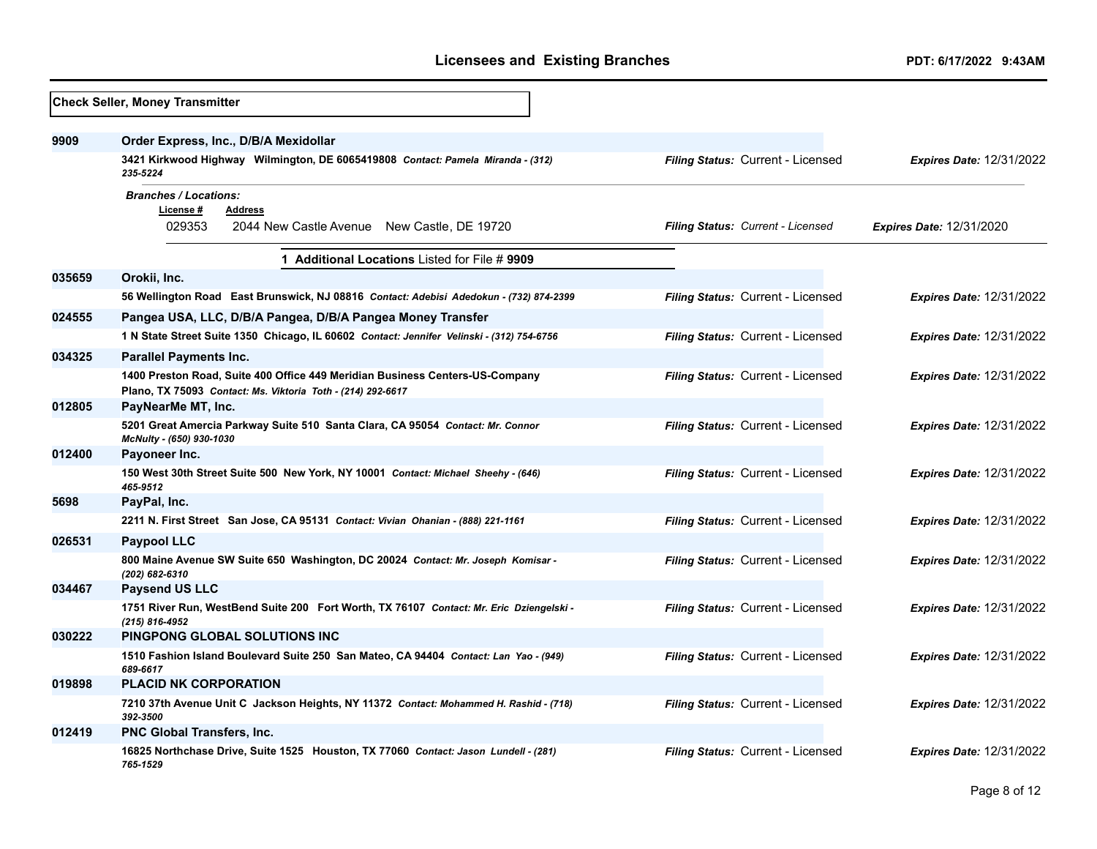## Licensees and Existing Branches *PDT: 6/17/2022 9:43AM*

|        | <b>Check Seller, Money Transmitter</b>                                                                                                      |                                          |                                 |
|--------|---------------------------------------------------------------------------------------------------------------------------------------------|------------------------------------------|---------------------------------|
| 9909   | Order Express, Inc., D/B/A Mexidollar                                                                                                       |                                          |                                 |
|        | 3421 Kirkwood Highway Wilmington, DE 6065419808 Contact: Pamela Miranda - (312)<br>235-5224                                                 | Filing Status: Current - Licensed        | <b>Expires Date: 12/31/2022</b> |
|        | <b>Branches / Locations:</b><br>License#<br><b>Address</b><br>029353<br>2044 New Castle Avenue New Castle, DE 19720                         | <b>Filing Status: Current - Licensed</b> | Expires Date: 12/31/2020        |
|        | 1 Additional Locations Listed for File # 9909                                                                                               |                                          |                                 |
| 035659 | Orokii, Inc.                                                                                                                                |                                          |                                 |
|        | 56 Wellington Road East Brunswick, NJ 08816 Contact: Adebisi Adedokun - (732) 874-2399                                                      | Filing Status: Current - Licensed        | <b>Expires Date: 12/31/2022</b> |
| 024555 | Pangea USA, LLC, D/B/A Pangea, D/B/A Pangea Money Transfer                                                                                  |                                          |                                 |
|        | 1 N State Street Suite 1350 Chicago, IL 60602 Contact: Jennifer Velinski - (312) 754-6756                                                   | Filing Status: Current - Licensed        | <b>Expires Date: 12/31/2022</b> |
| 034325 | <b>Parallel Payments Inc.</b>                                                                                                               |                                          |                                 |
|        | 1400 Preston Road, Suite 400 Office 449 Meridian Business Centers-US-Company<br>Plano, TX 75093 Contact: Ms. Viktoria Toth - (214) 292-6617 | Filing Status: Current - Licensed        | <b>Expires Date: 12/31/2022</b> |
| 012805 | PayNearMe MT, Inc.                                                                                                                          |                                          |                                 |
|        | 5201 Great Amercia Parkway Suite 510 Santa Clara, CA 95054 Contact: Mr. Connor<br>McNulty - (650) 930-1030                                  | Filing Status: Current - Licensed        | <b>Expires Date: 12/31/2022</b> |
| 012400 | Payoneer Inc.                                                                                                                               |                                          |                                 |
|        | 150 West 30th Street Suite 500 New York, NY 10001 Contact: Michael Sheehy - (646)<br>465-9512                                               | Filing Status: Current - Licensed        | <b>Expires Date: 12/31/2022</b> |
| 5698   | PayPal, Inc.                                                                                                                                |                                          |                                 |
|        | 2211 N. First Street San Jose, CA 95131 Contact: Vivian Ohanian - (888) 221-1161                                                            | Filing Status: Current - Licensed        | <b>Expires Date: 12/31/2022</b> |
| 026531 | <b>Paypool LLC</b>                                                                                                                          |                                          |                                 |
|        | 800 Maine Avenue SW Suite 650 Washington, DC 20024 Contact: Mr. Joseph Komisar -<br>(202) 682-6310                                          | Filing Status: Current - Licensed        | <b>Expires Date: 12/31/2022</b> |
| 034467 | <b>Paysend US LLC</b>                                                                                                                       |                                          |                                 |
|        | 1751 River Run, WestBend Suite 200 Fort Worth, TX 76107 Contact: Mr. Eric Dziengelski -<br>(215) 816-4952                                   | Filing Status: Current - Licensed        | <b>Expires Date: 12/31/2022</b> |
| 030222 | PINGPONG GLOBAL SOLUTIONS INC                                                                                                               |                                          |                                 |
|        | 1510 Fashion Island Boulevard Suite 250 San Mateo, CA 94404 Contact: Lan Yao - (949)<br>689-6617                                            | Filing Status: Current - Licensed        | <b>Expires Date: 12/31/2022</b> |
| 019898 | <b>PLACID NK CORPORATION</b>                                                                                                                |                                          |                                 |
|        | 7210 37th Avenue Unit C Jackson Heights, NY 11372 Contact: Mohammed H. Rashid - (718)<br>392-3500                                           | Filing Status: Current - Licensed        | <b>Expires Date: 12/31/2022</b> |
| 012419 | PNC Global Transfers, Inc.                                                                                                                  |                                          |                                 |
|        | 16825 Northchase Drive, Suite 1525 Houston, TX 77060 Contact: Jason Lundell - (281)<br>765-1529                                             | Filing Status: Current - Licensed        | <b>Expires Date: 12/31/2022</b> |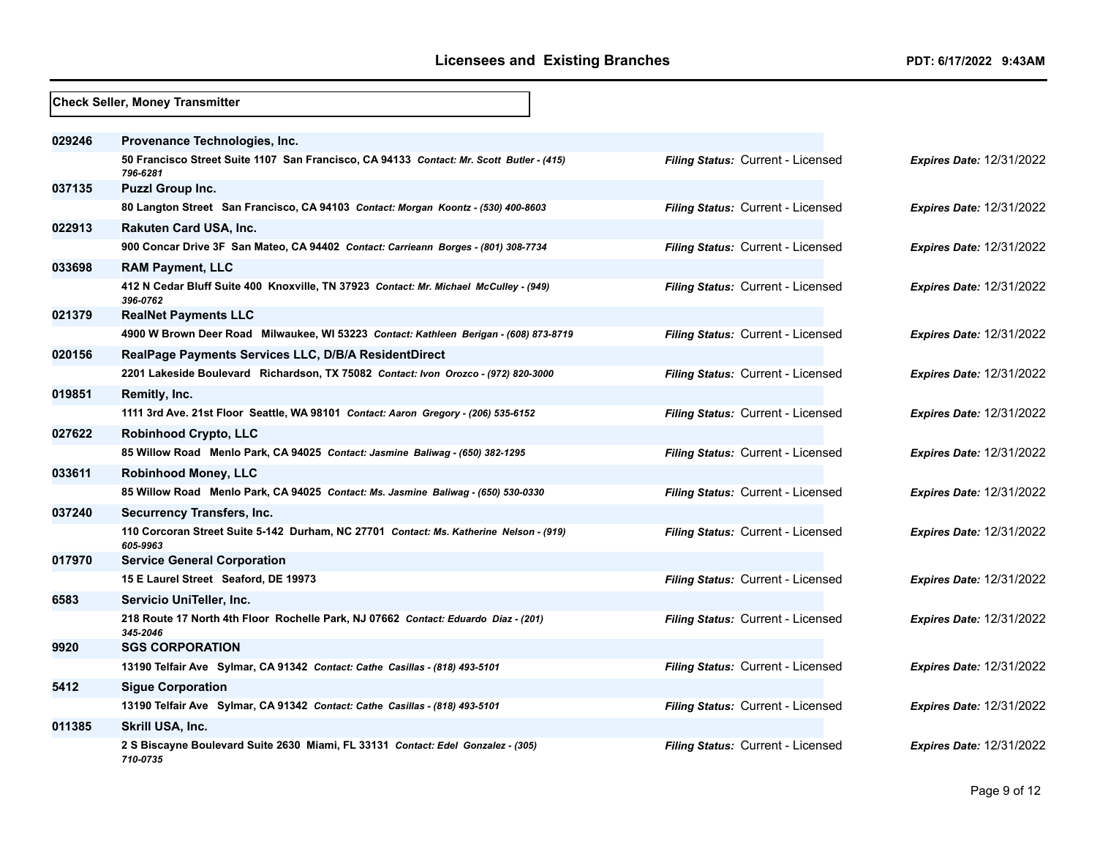|        | <b>Check Seller, Money Transmitter</b>                                                               |                                   |                                 |
|--------|------------------------------------------------------------------------------------------------------|-----------------------------------|---------------------------------|
| 029246 | Provenance Technologies, Inc.                                                                        |                                   |                                 |
|        | 50 Francisco Street Suite 1107 San Francisco, CA 94133 Contact: Mr. Scott Butler - (415)<br>796-6281 | Filing Status: Current - Licensed | <b>Expires Date: 12/31/2022</b> |
| 037135 | <b>Puzzl Group Inc.</b>                                                                              |                                   |                                 |
|        | 80 Langton Street San Francisco, CA 94103 Contact: Morgan Koontz - (530) 400-8603                    | Filing Status: Current - Licensed | <b>Expires Date: 12/31/2022</b> |
| 022913 | <b>Rakuten Card USA, Inc.</b>                                                                        |                                   |                                 |
|        | 900 Concar Drive 3F San Mateo, CA 94402 Contact: Carrieann Borges - (801) 308-7734                   | Filing Status: Current - Licensed | <b>Expires Date: 12/31/2022</b> |
| 033698 | <b>RAM Payment, LLC</b>                                                                              |                                   |                                 |
|        | 412 N Cedar Bluff Suite 400 Knoxville, TN 37923 Contact: Mr. Michael McCulley - (949)<br>396-0762    | Filing Status: Current - Licensed | <b>Expires Date: 12/31/2022</b> |
| 021379 | <b>RealNet Payments LLC</b>                                                                          |                                   |                                 |
|        | 4900 W Brown Deer Road Milwaukee, WI 53223 Contact: Kathleen Berigan - (608) 873-8719                | Filing Status: Current - Licensed | <b>Expires Date: 12/31/2022</b> |
| 020156 | RealPage Payments Services LLC, D/B/A ResidentDirect                                                 |                                   |                                 |
|        | 2201 Lakeside Boulevard Richardson, TX 75082 Contact: Ivon Orozco - (972) 820-3000                   | Filing Status: Current - Licensed | <b>Expires Date: 12/31/2022</b> |
| 019851 | Remitly, Inc.                                                                                        |                                   |                                 |
|        | 1111 3rd Ave. 21st Floor Seattle, WA 98101 Contact: Aaron Gregory - (206) 535-6152                   | Filing Status: Current - Licensed | <b>Expires Date: 12/31/2022</b> |
| 027622 | <b>Robinhood Crypto, LLC</b>                                                                         |                                   |                                 |
|        | 85 Willow Road Menlo Park, CA 94025 Contact: Jasmine Baliwag - (650) 382-1295                        | Filing Status: Current - Licensed | Expires Date: 12/31/2022        |
| 033611 | <b>Robinhood Money, LLC</b>                                                                          |                                   |                                 |
|        | 85 Willow Road Menlo Park, CA 94025 Contact: Ms. Jasmine Baliwag - (650) 530-0330                    | Filing Status: Current - Licensed | <b>Expires Date: 12/31/2022</b> |
| 037240 | Securrency Transfers, Inc.                                                                           |                                   |                                 |
|        | 110 Corcoran Street Suite 5-142 Durham, NC 27701 Contact: Ms. Katherine Nelson - (919)<br>605-9963   | Filing Status: Current - Licensed | <b>Expires Date: 12/31/2022</b> |
| 017970 | <b>Service General Corporation</b>                                                                   |                                   |                                 |
|        | 15 E Laurel Street Seaford, DE 19973                                                                 | Filing Status: Current - Licensed | <b>Expires Date: 12/31/2022</b> |
| 6583   | Servicio UniTeller, Inc.                                                                             |                                   |                                 |
|        | 218 Route 17 North 4th Floor Rochelle Park, NJ 07662 Contact: Eduardo Diaz - (201)<br>345-2046       | Filing Status: Current - Licensed | <b>Expires Date: 12/31/2022</b> |
| 9920   | <b>SGS CORPORATION</b>                                                                               |                                   |                                 |
|        | 13190 Telfair Ave Sylmar, CA 91342 Contact: Cathe Casillas - (818) 493-5101                          | Filing Status: Current - Licensed | <b>Expires Date: 12/31/2022</b> |
| 5412   | <b>Sigue Corporation</b>                                                                             |                                   |                                 |
|        | 13190 Telfair Ave Sylmar, CA 91342 Contact: Cathe Casillas - (818) 493-5101                          | Filing Status: Current - Licensed | Expires Date: 12/31/2022        |
| 011385 | Skrill USA, Inc.                                                                                     |                                   |                                 |
|        | 2 S Biscayne Boulevard Suite 2630 Miami, FL 33131 Contact: Edel Gonzalez - (305)<br>710-0735         | Filing Status: Current - Licensed | <b>Expires Date: 12/31/2022</b> |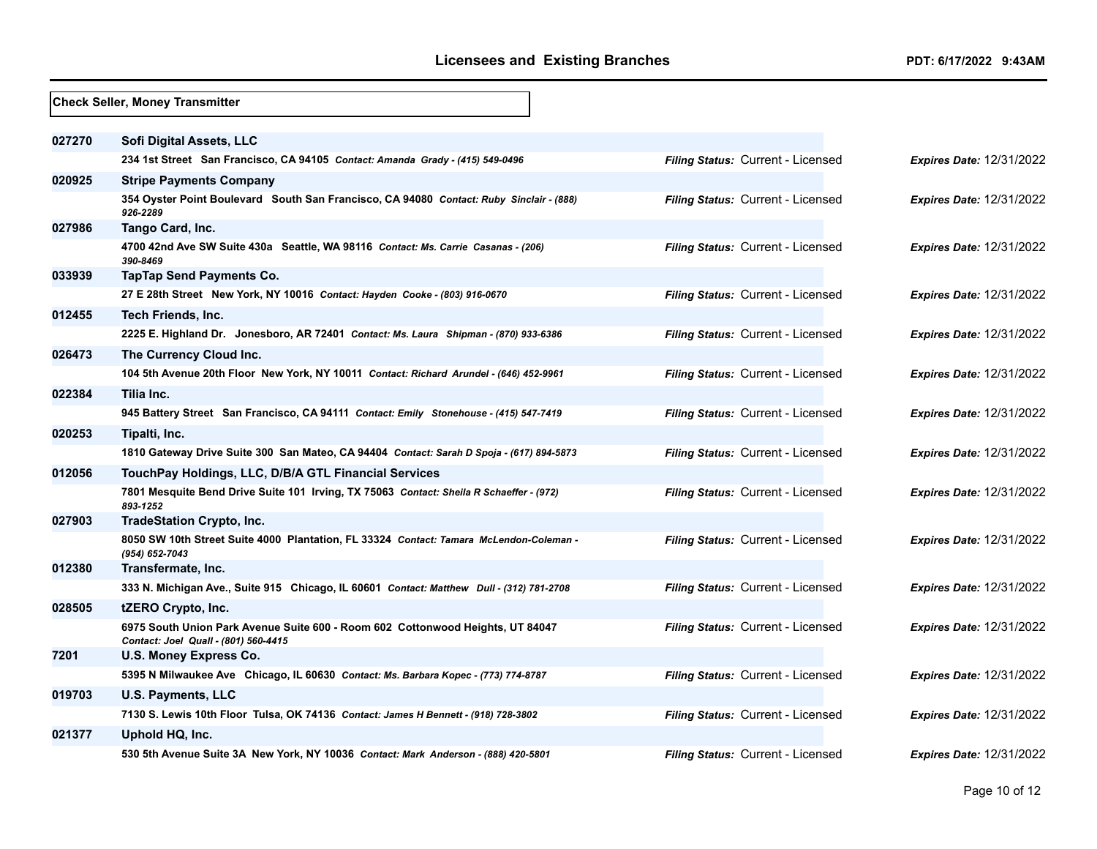| <b>Check Seller, Money Transmitter</b> |                                                                                                                        |                                   |                                 |
|----------------------------------------|------------------------------------------------------------------------------------------------------------------------|-----------------------------------|---------------------------------|
| 027270                                 | Sofi Digital Assets, LLC                                                                                               |                                   |                                 |
|                                        | 234 1st Street San Francisco, CA 94105 Contact: Amanda Grady - (415) 549-0496                                          | Filing Status: Current - Licensed | <b>Expires Date: 12/31/2022</b> |
| 020925                                 | <b>Stripe Payments Company</b>                                                                                         |                                   |                                 |
|                                        | 354 Oyster Point Boulevard South San Francisco, CA 94080 Contact: Ruby Sinclair - (888)<br>926-2289                    | Filing Status: Current - Licensed | <b>Expires Date: 12/31/2022</b> |
| 027986                                 | Tango Card, Inc.                                                                                                       |                                   |                                 |
|                                        | 4700 42nd Ave SW Suite 430a Seattle, WA 98116 Contact: Ms. Carrie Casanas - (206)<br>390-8469                          | Filing Status: Current - Licensed | <b>Expires Date: 12/31/2022</b> |
| 033939                                 | <b>TapTap Send Payments Co.</b>                                                                                        |                                   |                                 |
|                                        | 27 E 28th Street New York, NY 10016 Contact: Hayden Cooke - (803) 916-0670                                             | Filing Status: Current - Licensed | <b>Expires Date: 12/31/2022</b> |
| 012455                                 | <b>Tech Friends, Inc.</b>                                                                                              |                                   |                                 |
|                                        | 2225 E. Highland Dr. Jonesboro, AR 72401 Contact: Ms. Laura Shipman - (870) 933-6386                                   | Filing Status: Current - Licensed | <b>Expires Date: 12/31/2022</b> |
| 026473                                 | The Currency Cloud Inc.                                                                                                |                                   |                                 |
|                                        | 104 5th Avenue 20th Floor New York, NY 10011 Contact: Richard Arundel - (646) 452-9961                                 | Filing Status: Current - Licensed | <b>Expires Date: 12/31/2022</b> |
| 022384                                 | Tilia Inc.                                                                                                             |                                   |                                 |
|                                        | 945 Battery Street San Francisco, CA 94111 Contact: Emily Stonehouse - (415) 547-7419                                  | Filing Status: Current - Licensed | <b>Expires Date: 12/31/2022</b> |
| 020253                                 | Tipalti, Inc.                                                                                                          |                                   |                                 |
|                                        | 1810 Gateway Drive Suite 300 San Mateo, CA 94404 Contact: Sarah D Spoja - (617) 894-5873                               | Filing Status: Current - Licensed | <b>Expires Date: 12/31/2022</b> |
| 012056                                 | TouchPay Holdings, LLC, D/B/A GTL Financial Services                                                                   |                                   |                                 |
|                                        | 7801 Mesquite Bend Drive Suite 101 Irving, TX 75063 Contact: Sheila R Schaeffer - (972)<br>893-1252                    | Filing Status: Current - Licensed | <b>Expires Date: 12/31/2022</b> |
| 027903                                 | <b>TradeStation Crypto, Inc.</b>                                                                                       |                                   |                                 |
|                                        | 8050 SW 10th Street Suite 4000 Plantation, FL 33324 Contact: Tamara McLendon-Coleman -<br>(954) 652-7043               | Filing Status: Current - Licensed | <b>Expires Date: 12/31/2022</b> |
| 012380                                 | Transfermate, Inc.                                                                                                     |                                   |                                 |
|                                        | 333 N. Michigan Ave., Suite 915 Chicago, IL 60601 Contact: Matthew Dull - (312) 781-2708                               | Filing Status: Current - Licensed | <b>Expires Date: 12/31/2022</b> |
| 028505                                 | tZERO Crypto, Inc.                                                                                                     |                                   |                                 |
|                                        | 6975 South Union Park Avenue Suite 600 - Room 602 Cottonwood Heights, UT 84047<br>Contact: Joel Quall - (801) 560-4415 | Filing Status: Current - Licensed | <b>Expires Date: 12/31/2022</b> |
| 7201                                   | U.S. Money Express Co.                                                                                                 |                                   |                                 |
|                                        | 5395 N Milwaukee Ave Chicago, IL 60630 Contact: Ms. Barbara Kopec - (773) 774-8787                                     | Filing Status: Current - Licensed | <b>Expires Date: 12/31/2022</b> |
| 019703                                 | <b>U.S. Payments, LLC</b>                                                                                              |                                   |                                 |
|                                        | 7130 S. Lewis 10th Floor Tulsa, OK 74136 Contact: James H Bennett - (918) 728-3802                                     | Filing Status: Current - Licensed | <b>Expires Date: 12/31/2022</b> |
| 021377                                 | Uphold HQ, Inc.                                                                                                        |                                   |                                 |
|                                        | 530 5th Avenue Suite 3A New York, NY 10036 Contact: Mark Anderson - (888) 420-5801                                     | Filing Status: Current - Licensed | <b>Expires Date: 12/31/2022</b> |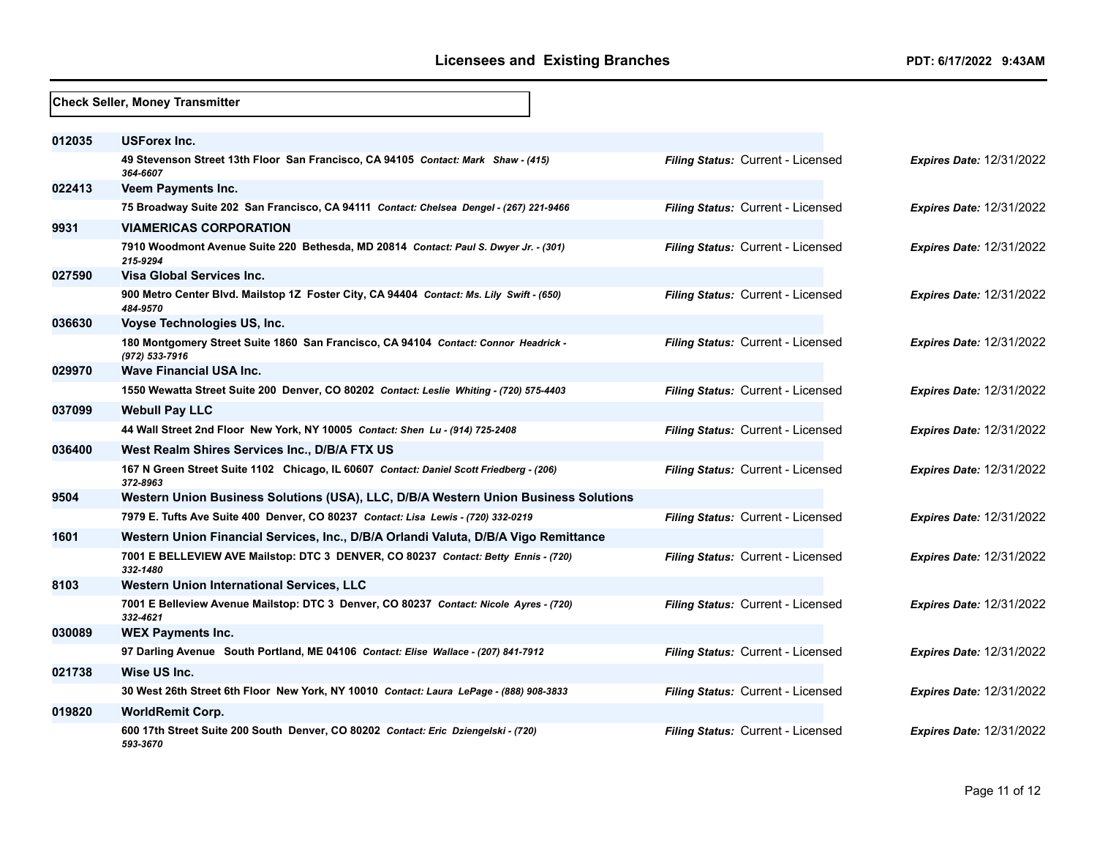|        | <b>Check Seller, Money Transmitter</b>                                                                |                                   |                                 |
|--------|-------------------------------------------------------------------------------------------------------|-----------------------------------|---------------------------------|
| 012035 | <b>USForex Inc.</b>                                                                                   |                                   |                                 |
|        | 49 Stevenson Street 13th Floor San Francisco, CA 94105 Contact: Mark Shaw - (415)<br>364-6607         | Filing Status: Current - Licensed | <b>Expires Date: 12/31/2022</b> |
| 022413 | <b>Veem Payments Inc.</b>                                                                             |                                   |                                 |
|        | 75 Broadway Suite 202 San Francisco, CA 94111 Contact: Chelsea Dengel - (267) 221-9466                | Filing Status: Current - Licensed | <b>Expires Date: 12/31/2022</b> |
| 9931   | <b>VIAMERICAS CORPORATION</b>                                                                         |                                   |                                 |
|        | 7910 Woodmont Avenue Suite 220 Bethesda, MD 20814 Contact: Paul S. Dwyer Jr. - (301)<br>215-9294      | Filing Status: Current - Licensed | <b>Expires Date: 12/31/2022</b> |
| 027590 | Visa Global Services Inc.                                                                             |                                   |                                 |
|        | 900 Metro Center Blvd. Mailstop 1Z Foster City, CA 94404 Contact: Ms. Lily Swift - (650)<br>484-9570  | Filing Status: Current - Licensed | <b>Expires Date: 12/31/2022</b> |
| 036630 | Voyse Technologies US, Inc.                                                                           |                                   |                                 |
|        | 180 Montgomery Street Suite 1860 San Francisco, CA 94104 Contact: Connor Headrick -<br>(972) 533-7916 | Filing Status: Current - Licensed | <b>Expires Date: 12/31/2022</b> |
| 029970 | <b>Wave Financial USA Inc.</b>                                                                        |                                   |                                 |
|        | 1550 Wewatta Street Suite 200 Denver, CO 80202 Contact: Leslie Whiting - (720) 575-4403               | Filing Status: Current - Licensed | <b>Expires Date: 12/31/2022</b> |
| 037099 | <b>Webull Pay LLC</b>                                                                                 |                                   |                                 |
|        | 44 Wall Street 2nd Floor New York, NY 10005 Contact: Shen Lu - (914) 725-2408                         | Filing Status: Current - Licensed | <b>Expires Date: 12/31/2022</b> |
| 036400 | West Realm Shires Services Inc., D/B/A FTX US                                                         |                                   |                                 |
|        | 167 N Green Street Suite 1102 Chicago, IL 60607 Contact: Daniel Scott Friedberg - (206)<br>372-8963   | Filing Status: Current - Licensed | <b>Expires Date: 12/31/2022</b> |
| 9504   | Western Union Business Solutions (USA), LLC, D/B/A Western Union Business Solutions                   |                                   |                                 |
|        | 7979 E. Tufts Ave Suite 400 Denver, CO 80237 Contact: Lisa Lewis - (720) 332-0219                     | Filing Status: Current - Licensed | <b>Expires Date: 12/31/2022</b> |
| 1601   | Western Union Financial Services, Inc., D/B/A Orlandi Valuta, D/B/A Vigo Remittance                   |                                   |                                 |
|        | 7001 E BELLEVIEW AVE Mailstop: DTC 3 DENVER, CO 80237 Contact: Betty Ennis - (720)<br>332-1480        | Filing Status: Current - Licensed | <b>Expires Date: 12/31/2022</b> |
| 8103   | Western Union International Services, LLC                                                             |                                   |                                 |
|        | 7001 E Belleview Avenue Mailstop: DTC 3 Denver, CO 80237 Contact: Nicole Ayres - (720)<br>332-4621    | Filing Status: Current - Licensed | <b>Expires Date: 12/31/2022</b> |
| 030089 | <b>WEX Payments Inc.</b>                                                                              |                                   |                                 |
|        | 97 Darling Avenue South Portland, ME 04106 Contact: Elise Wallace - (207) 841-7912                    | Filing Status: Current - Licensed | <b>Expires Date: 12/31/2022</b> |
| 021738 | Wise US Inc.                                                                                          |                                   |                                 |
|        | 30 West 26th Street 6th Floor New York, NY 10010 Contact: Laura LePage - (888) 908-3833               | Filing Status: Current - Licensed | <b>Expires Date: 12/31/2022</b> |
| 019820 | <b>WorldRemit Corp.</b>                                                                               |                                   |                                 |
|        | 600 17th Street Suite 200 South Denver, CO 80202 Contact: Eric Dziengelski - (720)<br>593-3670        | Filing Status: Current - Licensed | <b>Expires Date: 12/31/2022</b> |